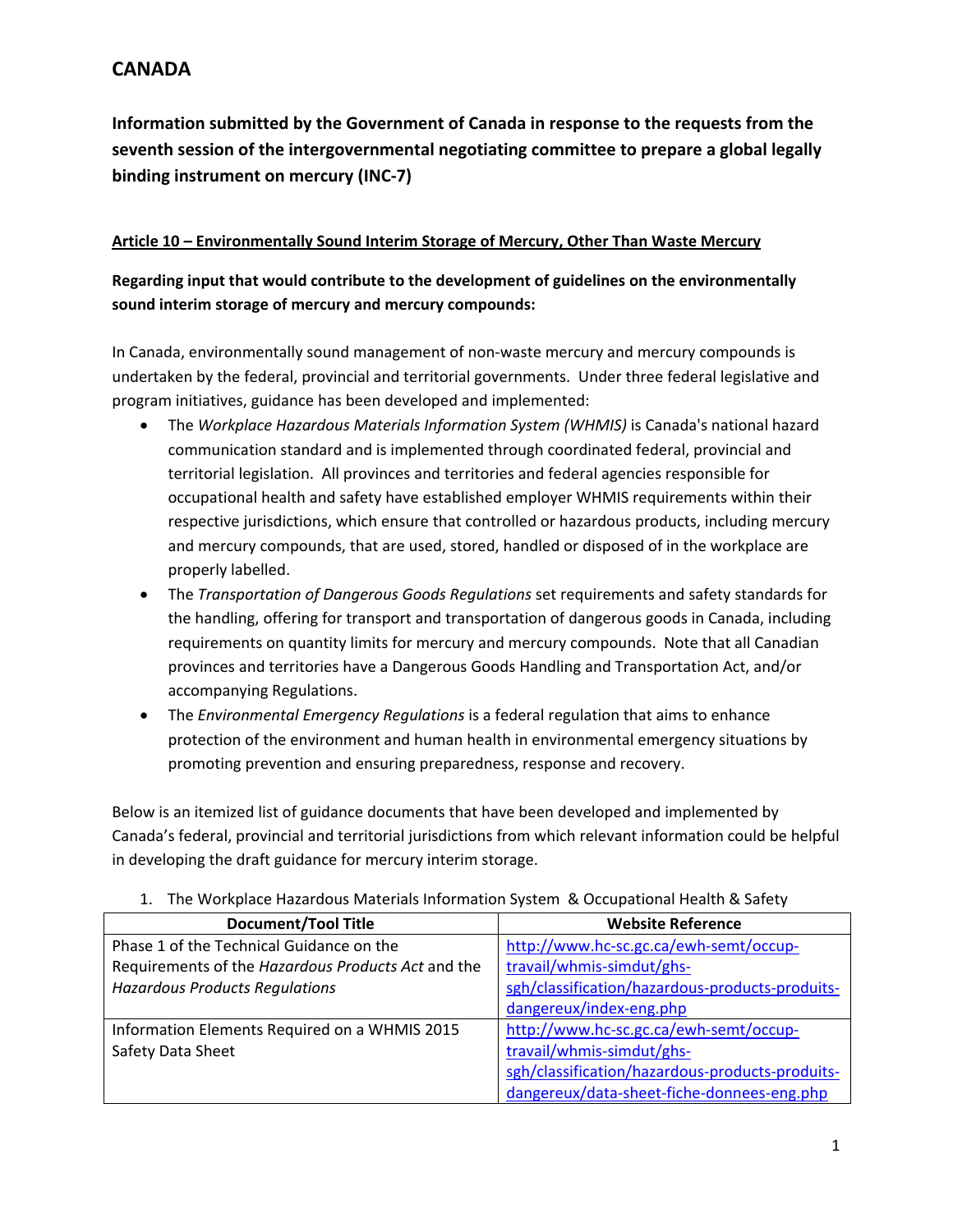**Information submitted by the Government of Canada in response to the requests from the seventh session of the intergovernmental negotiating committee to prepare a global legally binding instrument on mercury (INC‐7)**

#### **Article 10 – Environmentally Sound Interim Storage of Mercury, Other Than Waste Mercury**

**Regarding input that would contribute to the development of guidelines on the environmentally sound interim storage of mercury and mercury compounds:** 

In Canada, environmentally sound management of non-waste mercury and mercury compounds is undertaken by the federal, provincial and territorial governments. Under three federal legislative and program initiatives, guidance has been developed and implemented:

- The *Workplace Hazardous Materials Information System (WHMIS)* is Canada's national hazard communication standard and is implemented through coordinated federal, provincial and territorial legislation. All provinces and territories and federal agencies responsible for occupational health and safety have established employer WHMIS requirements within their respective jurisdictions, which ensure that controlled or hazardous products, including mercury and mercury compounds, that are used, stored, handled or disposed of in the workplace are properly labelled.
- The *Transportation of Dangerous Goods Regulations* set requirements and safety standards for the handling, offering for transport and transportation of dangerous goods in Canada, including requirements on quantity limits for mercury and mercury compounds. Note that all Canadian provinces and territories have a Dangerous Goods Handling and Transportation Act, and/or accompanying Regulations.
- The *Environmental Emergency Regulations* is a federal regulation that aims to enhance protection of the environment and human health in environmental emergency situations by promoting prevention and ensuring preparedness, response and recovery.

Below is an itemized list of guidance documents that have been developed and implemented by Canada's federal, provincial and territorial jurisdictions from which relevant information could be helpful in developing the draft guidance for mercury interim storage.

| <b>Document/Tool Title</b>                                                      | <b>Website Reference</b>                        |
|---------------------------------------------------------------------------------|-------------------------------------------------|
| Phase 1 of the Technical Guidance on the                                        | http://www.hc-sc.gc.ca/ewh-semt/occup-          |
| travail/whmis-simdut/ghs-<br>Requirements of the Hazardous Products Act and the |                                                 |
| <b>Hazardous Products Regulations</b>                                           | sgh/classification/hazardous-products-produits- |
|                                                                                 | dangereux/index-eng.php                         |
| Information Elements Required on a WHMIS 2015                                   | http://www.hc-sc.gc.ca/ewh-semt/occup-          |
| Safety Data Sheet                                                               | travail/whmis-simdut/ghs-                       |
|                                                                                 | sgh/classification/hazardous-products-produits- |
|                                                                                 | dangereux/data-sheet-fiche-donnees-eng.php      |

1. The Workplace Hazardous Materials Information System & Occupational Health & Safety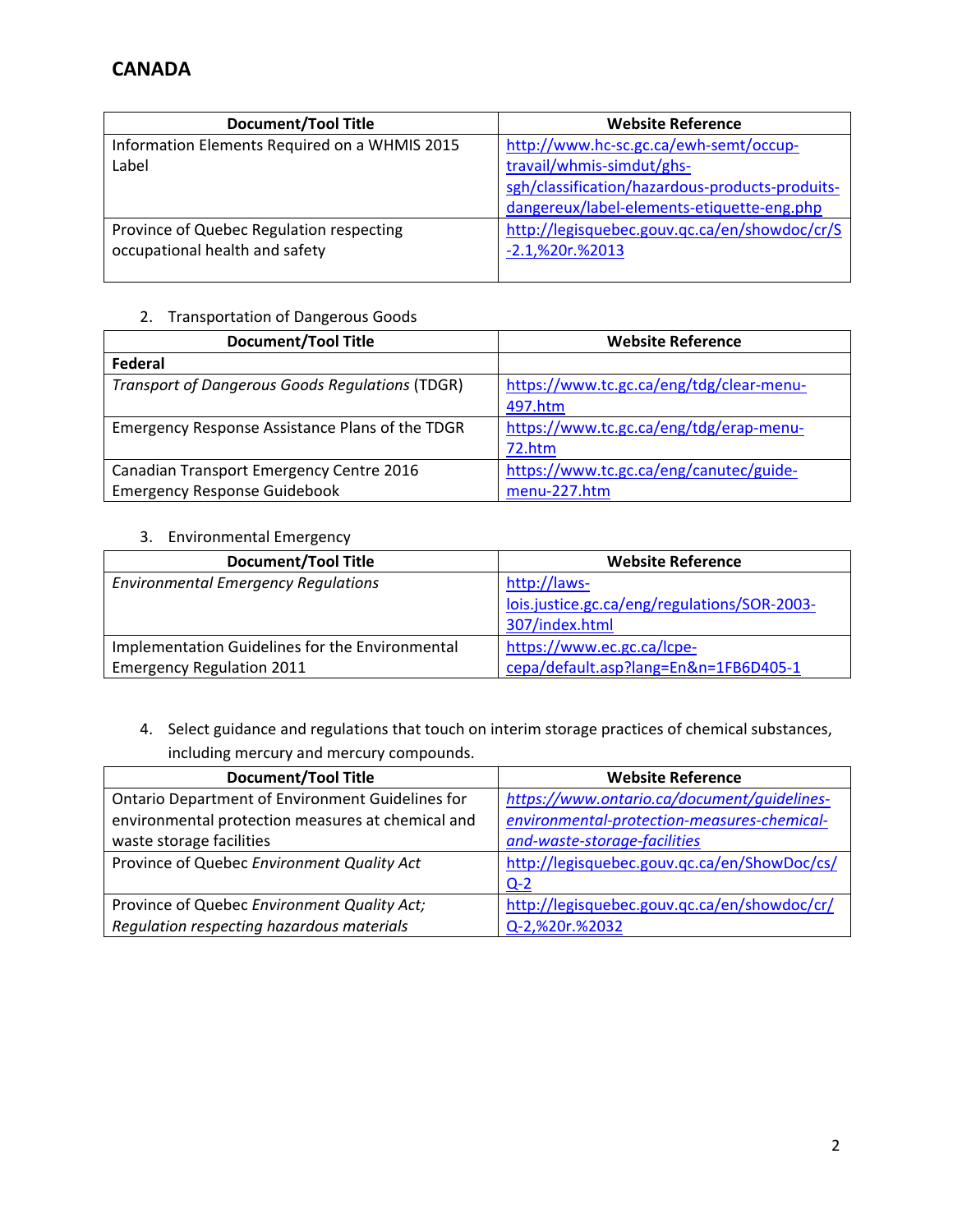| <b>Document/Tool Title</b>                    | <b>Website Reference</b>                        |
|-----------------------------------------------|-------------------------------------------------|
| Information Elements Required on a WHMIS 2015 | http://www.hc-sc.gc.ca/ewh-semt/occup-          |
| Label                                         | travail/whmis-simdut/ghs-                       |
|                                               | sgh/classification/hazardous-products-produits- |
|                                               | dangereux/label-elements-etiquette-eng.php      |
| Province of Quebec Regulation respecting      | http://legisquebec.gouv.qc.ca/en/showdoc/cr/S   |
| occupational health and safety                | $-2.1$ ,%20r.%2013                              |
|                                               |                                                 |

### 2. Transportation of Dangerous Goods

| <b>Document/Tool Title</b>                             | <b>Website Reference</b>                 |
|--------------------------------------------------------|------------------------------------------|
| Federal                                                |                                          |
| <b>Transport of Dangerous Goods Regulations (TDGR)</b> | https://www.tc.gc.ca/eng/tdg/clear-menu- |
|                                                        | 497.htm                                  |
| Emergency Response Assistance Plans of the TDGR        | https://www.tc.gc.ca/eng/tdg/erap-menu-  |
|                                                        | 72.htm                                   |
| Canadian Transport Emergency Centre 2016               | https://www.tc.gc.ca/eng/canutec/guide-  |
| <b>Emergency Response Guidebook</b>                    | menu-227.htm                             |

### 3. Environmental Emergency

| <b>Document/Tool Title</b>                      | <b>Website Reference</b>                     |  |
|-------------------------------------------------|----------------------------------------------|--|
| <b>Environmental Emergency Regulations</b>      | http://laws-                                 |  |
|                                                 | lois.justice.gc.ca/eng/regulations/SOR-2003- |  |
|                                                 | 307/index.html                               |  |
| Implementation Guidelines for the Environmental | https://www.ec.gc.ca/lcpe-                   |  |
| <b>Emergency Regulation 2011</b>                | cepa/default.asp?lang=En&n=1FB6D405-1        |  |

4. Select guidance and regulations that touch on interim storage practices of chemical substances, including mercury and mercury compounds.

| <b>Document/Tool Title</b>                        | <b>Website Reference</b>                     |
|---------------------------------------------------|----------------------------------------------|
| Ontario Department of Environment Guidelines for  | https://www.ontario.ca/document/quidelines-  |
| environmental protection measures at chemical and | environmental-protection-measures-chemical-  |
| waste storage facilities                          | and-waste-storage-facilities                 |
| Province of Quebec Environment Quality Act        | http://legisquebec.gouv.qc.ca/en/ShowDoc/cs/ |
|                                                   | $Q-2$                                        |
| Province of Quebec Environment Quality Act;       | http://legisquebec.gouv.qc.ca/en/showdoc/cr/ |
| Regulation respecting hazardous materials         | Q-2,%20r.%2032                               |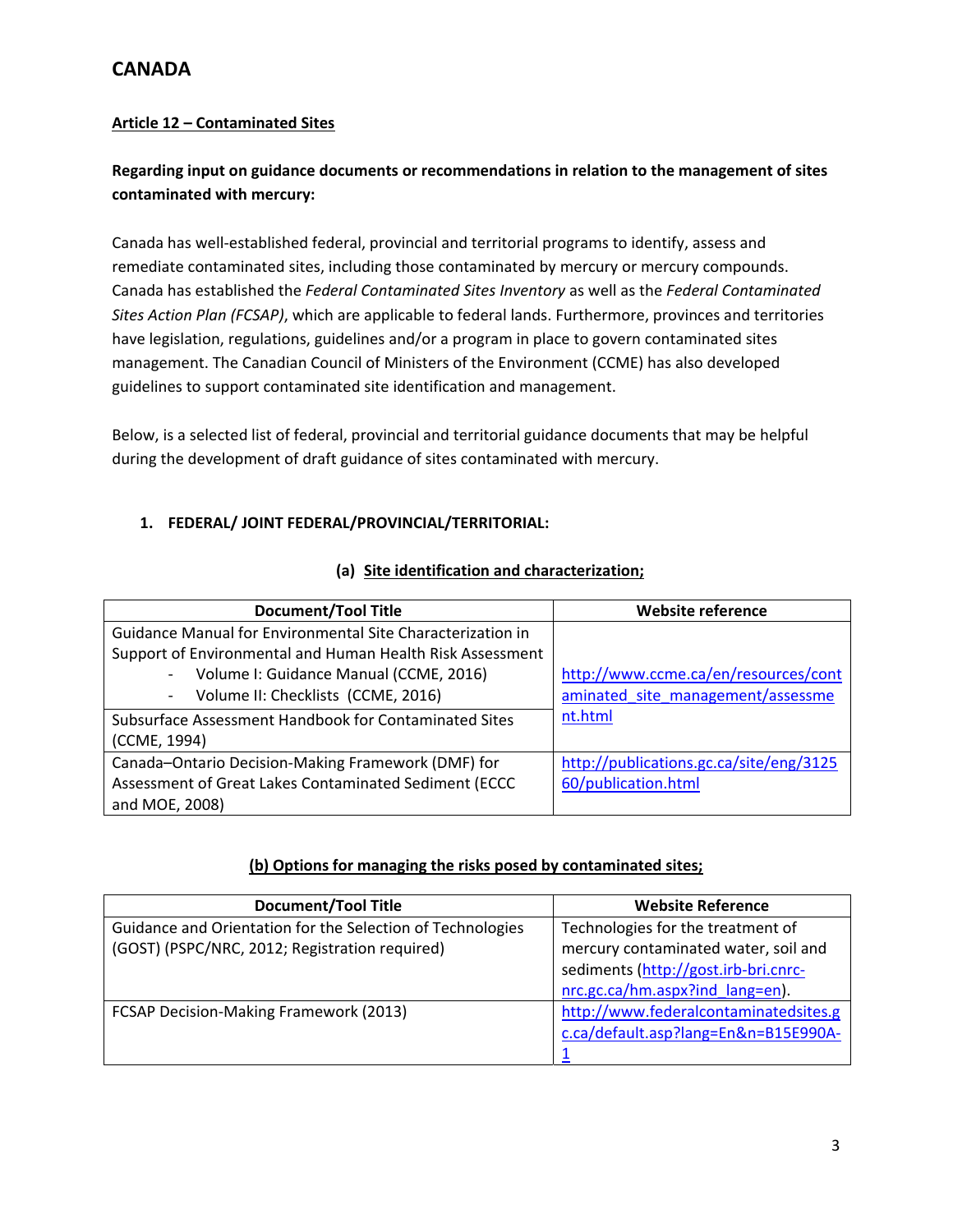### **Article 12 – Contaminated Sites**

## **Regarding input on guidance documents or recommendations in relation to the management of sites contaminated with mercury:**

Canada has well‐established federal, provincial and territorial programs to identify, assess and remediate contaminated sites, including those contaminated by mercury or mercury compounds. Canada has established the *Federal Contaminated Sites Inventory* as well as the *Federal Contaminated Sites Action Plan (FCSAP)*, which are applicable to federal lands. Furthermore, provinces and territories have legislation, regulations, guidelines and/or a program in place to govern contaminated sites management. The Canadian Council of Ministers of the Environment (CCME) has also developed guidelines to support contaminated site identification and management.

Below, is a selected list of federal, provincial and territorial guidance documents that may be helpful during the development of draft guidance of sites contaminated with mercury.

### **1. FEDERAL/ JOINT FEDERAL/PROVINCIAL/TERRITORIAL:**

| (a) Site identification and characterization; |  |  |  |
|-----------------------------------------------|--|--|--|
|-----------------------------------------------|--|--|--|

| <b>Document/Tool Title</b>                                 | <b>Website reference</b>                |
|------------------------------------------------------------|-----------------------------------------|
| Guidance Manual for Environmental Site Characterization in |                                         |
| Support of Environmental and Human Health Risk Assessment  |                                         |
| Volume I: Guidance Manual (CCME, 2016)                     | http://www.ccme.ca/en/resources/cont    |
| Volume II: Checklists (CCME, 2016)<br>$\sim$               | aminated site management/assessme       |
| Subsurface Assessment Handbook for Contaminated Sites      | nt.html                                 |
| (CCME, 1994)                                               |                                         |
| Canada-Ontario Decision-Making Framework (DMF) for         | http://publications.gc.ca/site/eng/3125 |
| Assessment of Great Lakes Contaminated Sediment (ECCC      | 60/publication.html                     |
| and MOE, 2008)                                             |                                         |

#### **(b) Options for managing the risks posed by contaminated sites;**

| <b>Document/Tool Title</b>                                 | <b>Website Reference</b>              |
|------------------------------------------------------------|---------------------------------------|
| Guidance and Orientation for the Selection of Technologies | Technologies for the treatment of     |
| (GOST) (PSPC/NRC, 2012; Registration required)             | mercury contaminated water, soil and  |
|                                                            | sediments (http://gost.irb-bri.cnrc-  |
|                                                            | nrc.gc.ca/hm.aspx?ind_lang=en).       |
| FCSAP Decision-Making Framework (2013)                     | http://www.federalcontaminatedsites.g |
|                                                            | c.ca/default.asp?lang=En&n=B15E990A-  |
|                                                            |                                       |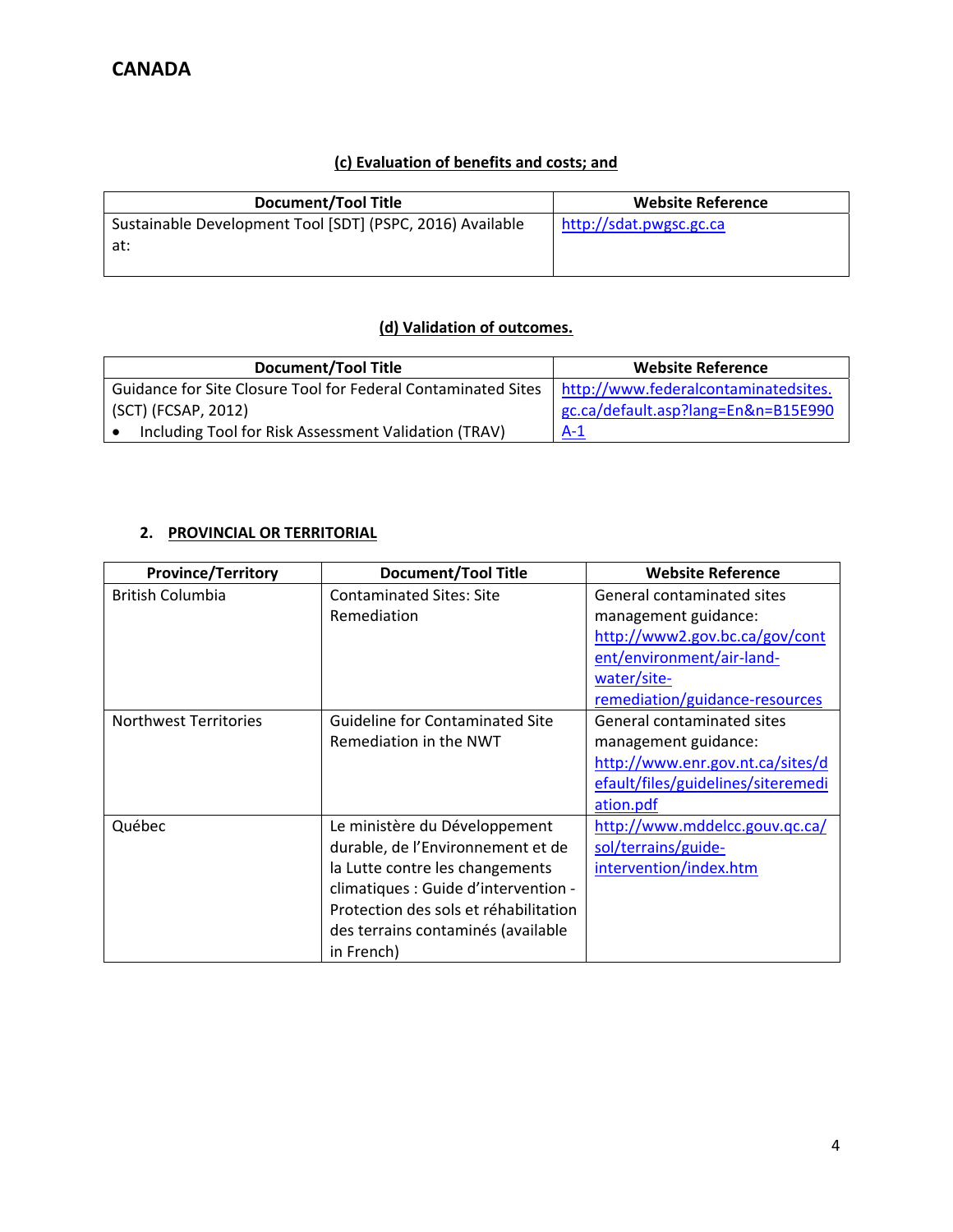### **(c) Evaluation of benefits and costs; and**

### **(d) Validation of outcomes.**

| <b>Document/Tool Title</b>                                                                           | <b>Website Reference</b>            |
|------------------------------------------------------------------------------------------------------|-------------------------------------|
| Guidance for Site Closure Tool for Federal Contaminated Sites   http://www.federalcontaminatedsites. |                                     |
| l (SCT) (FCSAP, 2012)                                                                                | gc.ca/default.asp?lang=En&n=B15E990 |
| Including Tool for Risk Assessment Validation (TRAV)                                                 | $A-1$                               |

## **2. PROVINCIAL OR TERRITORIAL**

| <b>Province/Territory</b>    | <b>Document/Tool Title</b>                                                                                                                                                                                                                 | <b>Website Reference</b>                                                                                                                                           |
|------------------------------|--------------------------------------------------------------------------------------------------------------------------------------------------------------------------------------------------------------------------------------------|--------------------------------------------------------------------------------------------------------------------------------------------------------------------|
| <b>British Columbia</b>      | <b>Contaminated Sites: Site</b><br>Remediation                                                                                                                                                                                             | General contaminated sites<br>management guidance:<br>http://www2.gov.bc.ca/gov/cont<br>ent/environment/air-land-<br>water/site-<br>remediation/guidance-resources |
| <b>Northwest Territories</b> | <b>Guideline for Contaminated Site</b><br>Remediation in the NWT                                                                                                                                                                           | General contaminated sites<br>management guidance:<br>http://www.enr.gov.nt.ca/sites/d<br>efault/files/guidelines/siteremedi<br>ation.pdf                          |
| Québec                       | Le ministère du Développement<br>durable, de l'Environnement et de<br>la Lutte contre les changements<br>climatiques : Guide d'intervention -<br>Protection des sols et réhabilitation<br>des terrains contaminés (available<br>in French) | http://www.mddelcc.gouv.qc.ca/<br>sol/terrains/guide-<br>intervention/index.htm                                                                                    |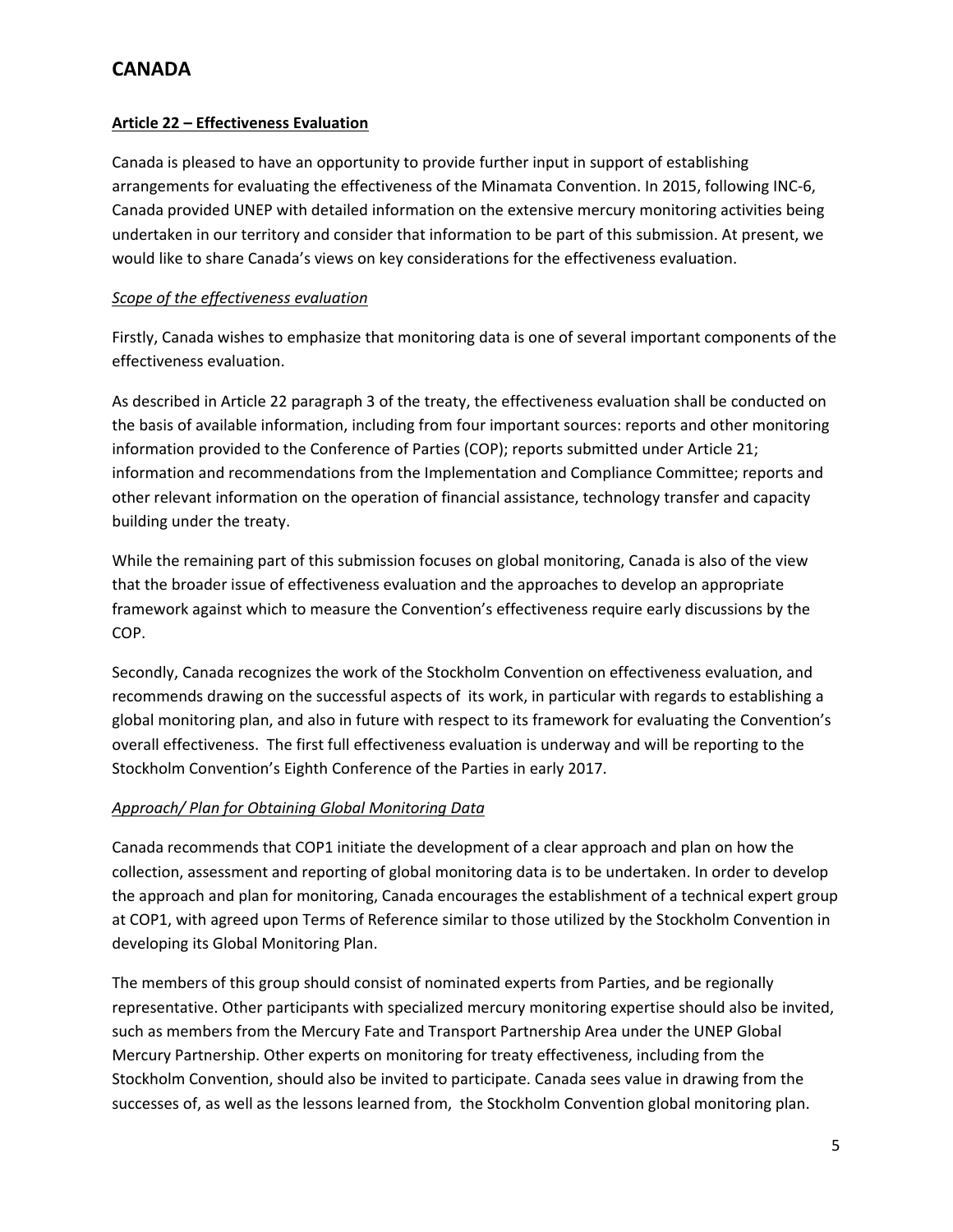#### **Article 22 – Effectiveness Evaluation**

Canada is pleased to have an opportunity to provide further input in support of establishing arrangements for evaluating the effectiveness of the Minamata Convention. In 2015, following INC‐6, Canada provided UNEP with detailed information on the extensive mercury monitoring activities being undertaken in our territory and consider that information to be part of this submission. At present, we would like to share Canada's views on key considerations for the effectiveness evaluation.

#### *Scope of the effectiveness evaluation*

Firstly, Canada wishes to emphasize that monitoring data is one of several important components of the effectiveness evaluation.

As described in Article 22 paragraph 3 of the treaty, the effectiveness evaluation shall be conducted on the basis of available information, including from four important sources: reports and other monitoring information provided to the Conference of Parties (COP); reports submitted under Article 21; information and recommendations from the Implementation and Compliance Committee; reports and other relevant information on the operation of financial assistance, technology transfer and capacity building under the treaty.

While the remaining part of this submission focuses on global monitoring, Canada is also of the view that the broader issue of effectiveness evaluation and the approaches to develop an appropriate framework against which to measure the Convention's effectiveness require early discussions by the COP.

Secondly, Canada recognizes the work of the Stockholm Convention on effectiveness evaluation, and recommends drawing on the successful aspects of its work, in particular with regards to establishing a global monitoring plan, and also in future with respect to its framework for evaluating the Convention's overall effectiveness. The first full effectiveness evaluation is underway and will be reporting to the Stockholm Convention's Eighth Conference of the Parties in early 2017.

#### *Approach/ Plan for Obtaining Global Monitoring Data*

Canada recommends that COP1 initiate the development of a clear approach and plan on how the collection, assessment and reporting of global monitoring data is to be undertaken. In order to develop the approach and plan for monitoring, Canada encourages the establishment of a technical expert group at COP1, with agreed upon Terms of Reference similar to those utilized by the Stockholm Convention in developing its Global Monitoring Plan.

The members of this group should consist of nominated experts from Parties, and be regionally representative. Other participants with specialized mercury monitoring expertise should also be invited, such as members from the Mercury Fate and Transport Partnership Area under the UNEP Global Mercury Partnership. Other experts on monitoring for treaty effectiveness, including from the Stockholm Convention, should also be invited to participate. Canada sees value in drawing from the successes of, as well as the lessons learned from, the Stockholm Convention global monitoring plan.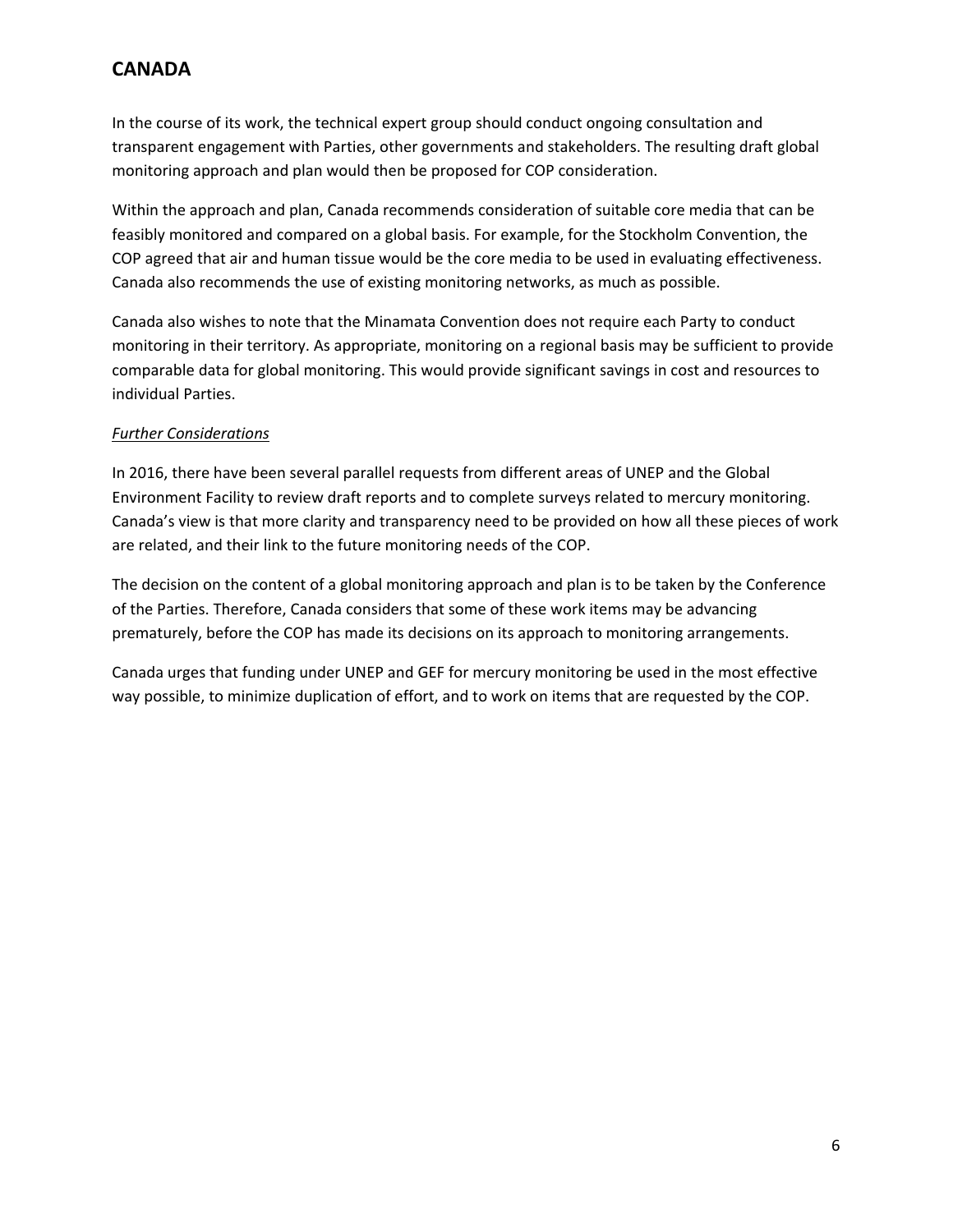In the course of its work, the technical expert group should conduct ongoing consultation and transparent engagement with Parties, other governments and stakeholders. The resulting draft global monitoring approach and plan would then be proposed for COP consideration.

Within the approach and plan, Canada recommends consideration of suitable core media that can be feasibly monitored and compared on a global basis. For example, for the Stockholm Convention, the COP agreed that air and human tissue would be the core media to be used in evaluating effectiveness. Canada also recommends the use of existing monitoring networks, as much as possible.

Canada also wishes to note that the Minamata Convention does not require each Party to conduct monitoring in their territory. As appropriate, monitoring on a regional basis may be sufficient to provide comparable data for global monitoring. This would provide significant savings in cost and resources to individual Parties.

#### *Further Considerations*

In 2016, there have been several parallel requests from different areas of UNEP and the Global Environment Facility to review draft reports and to complete surveys related to mercury monitoring. Canada's view is that more clarity and transparency need to be provided on how all these pieces of work are related, and their link to the future monitoring needs of the COP.

The decision on the content of a global monitoring approach and plan is to be taken by the Conference of the Parties. Therefore, Canada considers that some of these work items may be advancing prematurely, before the COP has made its decisions on its approach to monitoring arrangements.

Canada urges that funding under UNEP and GEF for mercury monitoring be used in the most effective way possible, to minimize duplication of effort, and to work on items that are requested by the COP.